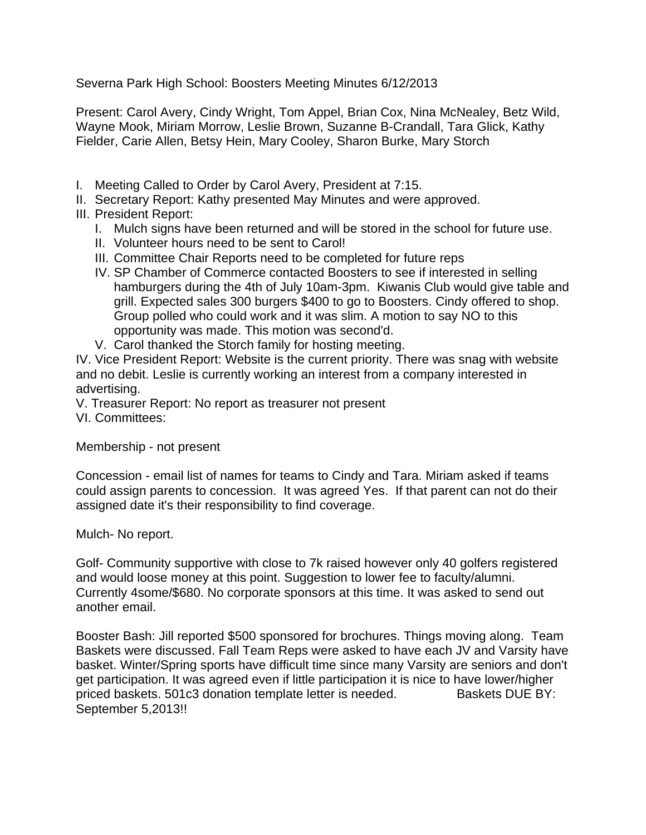Severna Park High School: Boosters Meeting Minutes 6/12/2013

Present: Carol Avery, Cindy Wright, Tom Appel, Brian Cox, Nina McNealey, Betz Wild, Wayne Mook, Miriam Morrow, Leslie Brown, Suzanne B-Crandall, Tara Glick, Kathy Fielder, Carie Allen, Betsy Hein, Mary Cooley, Sharon Burke, Mary Storch

- I. Meeting Called to Order by Carol Avery, President at 7:15.
- II. Secretary Report: Kathy presented May Minutes and were approved.
- III. President Report:
	- I. Mulch signs have been returned and will be stored in the school for future use.
	- II. Volunteer hours need to be sent to Carol!
	- III. Committee Chair Reports need to be completed for future reps
	- IV. SP Chamber of Commerce contacted Boosters to see if interested in selling hamburgers during the 4th of July 10am-3pm. Kiwanis Club would give table and grill. Expected sales 300 burgers \$400 to go to Boosters. Cindy offered to shop. Group polled who could work and it was slim. A motion to say NO to this opportunity was made. This motion was second'd.
	- V. Carol thanked the Storch family for hosting meeting.

IV. Vice President Report: Website is the current priority. There was snag with website and no debit. Leslie is currently working an interest from a company interested in advertising.

V. Treasurer Report: No report as treasurer not present

VI. Committees:

Membership - not present

Concession - email list of names for teams to Cindy and Tara. Miriam asked if teams could assign parents to concession. It was agreed Yes. If that parent can not do their assigned date it's their responsibility to find coverage.

Mulch- No report.

Golf- Community supportive with close to 7k raised however only 40 golfers registered and would loose money at this point. Suggestion to lower fee to faculty/alumni. Currently 4some/\$680. No corporate sponsors at this time. It was asked to send out another email.

Booster Bash: Jill reported \$500 sponsored for brochures. Things moving along. Team Baskets were discussed. Fall Team Reps were asked to have each JV and Varsity have basket. Winter/Spring sports have difficult time since many Varsity are seniors and don't get participation. It was agreed even if little participation it is nice to have lower/higher priced baskets. 501c3 donation template letter is needed. Baskets DUE BY: September 5,2013!!